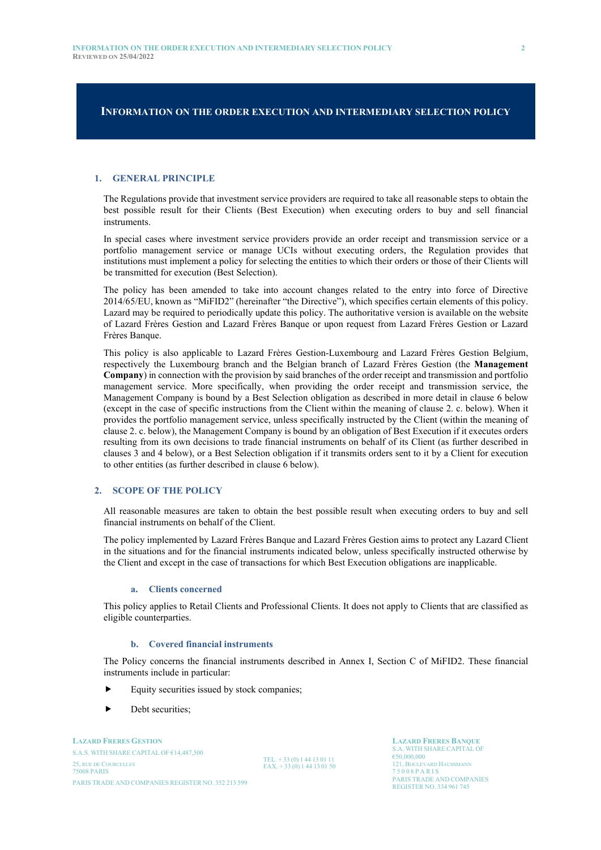## **INFORMATION ON THE ORDER EXECUTION AND INTERMEDIARY SELECTION POLICY**

#### **1. GENERAL PRINCIPLE**

The Regulations provide that investment service providers are required to take all reasonable steps to obtain the best possible result for their Clients (Best Execution) when executing orders to buy and sell financial instruments.

In special cases where investment service providers provide an order receipt and transmission service or a portfolio management service or manage UCIs without executing orders, the Regulation provides that institutions must implement a policy for selecting the entities to which their orders or those of their Clients will be transmitted for execution (Best Selection).

The policy has been amended to take into account changes related to the entry into force of Directive 2014/65/EU, known as "MiFID2" (hereinafter "the Directive"), which specifies certain elements of this policy. Lazard may be required to periodically update this policy. The authoritative version is available on the website of Lazard Frères Gestion and Lazard Frères Banque or upon request from Lazard Frères Gestion or Lazard Frères Banque.

This policy is also applicable to Lazard Frères Gestion-Luxembourg and Lazard Frères Gestion Belgium, respectively the Luxembourg branch and the Belgian branch of Lazard Frères Gestion (the **Management Company**) in connection with the provision by said branches of the order receipt and transmission and portfolio management service. More specifically, when providing the order receipt and transmission service, the Management Company is bound by a Best Selection obligation as described in more detail in clause 6 below (except in the case of specific instructions from the Client within the meaning of clause 2. c. below). When it provides the portfolio management service, unless specifically instructed by the Client (within the meaning of clause 2. c. below), the Management Company is bound by an obligation of Best Execution if it executes orders resulting from its own decisions to trade financial instruments on behalf of its Client (as further described in clauses 3 and 4 below), or a Best Selection obligation if it transmits orders sent to it by a Client for execution to other entities (as further described in clause 6 below).

## **2. SCOPE OF THE POLICY**

All reasonable measures are taken to obtain the best possible result when executing orders to buy and sell financial instruments on behalf of the Client.

The policy implemented by Lazard Frères Banque and Lazard Frères Gestion aims to protect any Lazard Client in the situations and for the financial instruments indicated below, unless specifically instructed otherwise by the Client and except in the case of transactions for which Best Execution obligations are inapplicable.

#### **a. Clients concerned**

This policy applies to Retail Clients and Professional Clients. It does not apply to Clients that are classified as eligible counterparties.

#### **b. Covered financial instruments**

The Policy concerns the financial instruments described in Annex I, Section C of MiFID2. These financial instruments include in particular:

- Equity securities issued by stock companies;
- Debt securities;

**LAZARD FRERES GESTION** S.A.S. WITH SHARE CAPITAL OF  $614.487,500$ 25, RUE DE COURCELLES<br>
25, RUE DE COURCELLES<br>
25, OO A PARIS
25, OO A PARIS
25, OO A PARIS
25, OO A PARIS
25, OO A PARIS 75 0 0 8 P ARIS 2008 PARIS 2008 P ARIS 2008 P ARIS 2008 P ARIS 2008 P ARIS PARIS TRADE AND COMPANIES REGISTER NO. 352 213 599

TEL. + 33 (0) 1 44 13 01 11  $FAX + 33(0)144130150$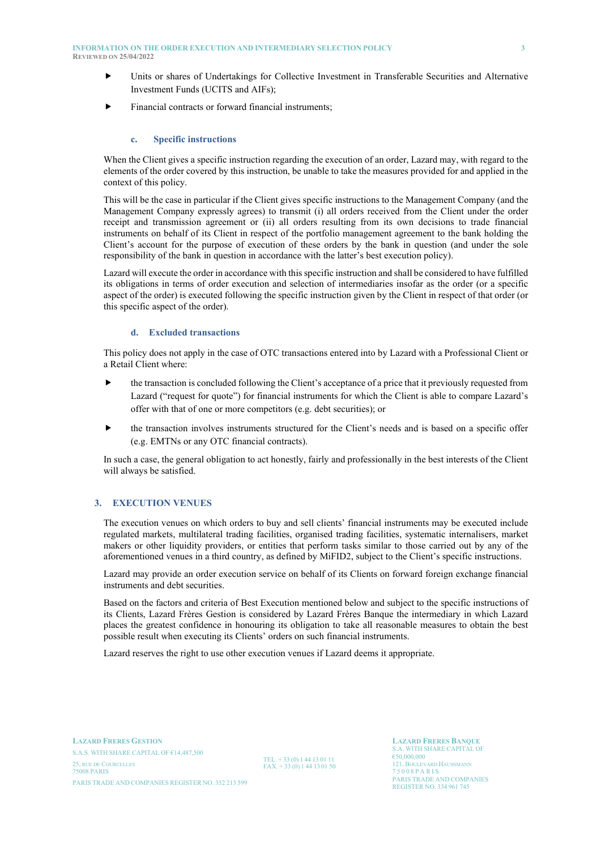#### **INFORMATION ON THE ORDER EXECUTION AND INTERMEDIARY SELECTION POLICY 3 REVIEWED ON 25/04/2022**

- Units or shares of Undertakings for Collective Investment in Transferable Securities and Alternative Investment Funds (UCITS and AIFs);
- Financial contracts or forward financial instruments;

### **c. Specific instructions**

When the Client gives a specific instruction regarding the execution of an order, Lazard may, with regard to the elements of the order covered by this instruction, be unable to take the measures provided for and applied in the context of this policy.

This will be the case in particular if the Client gives specific instructions to the Management Company (and the Management Company expressly agrees) to transmit (i) all orders received from the Client under the order receipt and transmission agreement or (ii) all orders resulting from its own decisions to trade financial instruments on behalf of its Client in respect of the portfolio management agreement to the bank holding the Client's account for the purpose of execution of these orders by the bank in question (and under the sole responsibility of the bank in question in accordance with the latter's best execution policy).

Lazard will execute the order in accordance with this specific instruction and shall be considered to have fulfilled its obligations in terms of order execution and selection of intermediaries insofar as the order (or a specific aspect of the order) is executed following the specific instruction given by the Client in respect of that order (or this specific aspect of the order).

#### **d. Excluded transactions**

This policy does not apply in the case of OTC transactions entered into by Lazard with a Professional Client or a Retail Client where:

- $\blacktriangleright$  the transaction is concluded following the Client's acceptance of a price that it previously requested from Lazard ("request for quote") for financial instruments for which the Client is able to compare Lazard's offer with that of one or more competitors (e.g. debt securities); or
- the transaction involves instruments structured for the Client's needs and is based on a specific offer (e.g. EMTNs or any OTC financial contracts).

In such a case, the general obligation to act honestly, fairly and professionally in the best interests of the Client will always be satisfied.

## **3. EXECUTION VENUES**

The execution venues on which orders to buy and sell clients' financial instruments may be executed include regulated markets, multilateral trading facilities, organised trading facilities, systematic internalisers, market makers or other liquidity providers, or entities that perform tasks similar to those carried out by any of the aforementioned venues in a third country, as defined by MiFID2, subject to the Client's specific instructions.

Lazard may provide an order execution service on behalf of its Clients on forward foreign exchange financial instruments and debt securities.

Based on the factors and criteria of Best Execution mentioned below and subject to the specific instructions of its Clients, Lazard Frères Gestion is considered by Lazard Frères Banque the intermediary in which Lazard places the greatest confidence in honouring its obligation to take all reasonable measures to obtain the best possible result when executing its Clients' orders on such financial instruments.

Lazard reserves the right to use other execution venues if Lazard deems it appropriate.

**LAZARD FRERES GESTION** S.A.S. WITH SHARE CAPITAL OF  $614,487,500$ 25, RUE DE COURCELLES<br>
25, RUE DE COURCELLES<br>
25, OOS PARIS<br>
25, OOS PARIS<br>
25, OOS PARIS 75 0 0 8 P ARIS 2008 PARIS 2008 P ARIS 2008 P ARIS 2008 P ARIS 2008 P ARIS PARIS TRADE AND COMPANIES REGISTER NO. 352 213 599

TEL. + 33 (0) 1 44 13 01 11  $FAX + 33(0)144130150$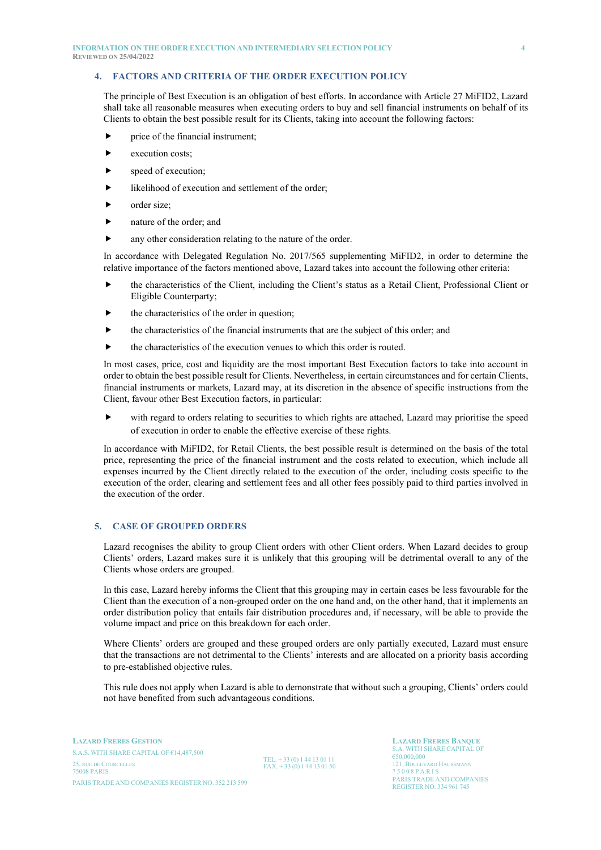## **4. FACTORS AND CRITERIA OF THE ORDER EXECUTION POLICY**

The principle of Best Execution is an obligation of best efforts. In accordance with Article 27 MiFID2, Lazard shall take all reasonable measures when executing orders to buy and sell financial instruments on behalf of its Clients to obtain the best possible result for its Clients, taking into account the following factors:

- price of the financial instrument;
- $\blacktriangleright$  execution costs:
- speed of execution;
- likelihood of execution and settlement of the order;
- order size;
- **Exercise** nature of the order; and
- any other consideration relating to the nature of the order.

In accordance with Delegated Regulation No. 2017/565 supplementing MiFID2, in order to determine the relative importance of the factors mentioned above, Lazard takes into account the following other criteria:

- the characteristics of the Client, including the Client's status as a Retail Client, Professional Client or Eligible Counterparty;
- the characteristics of the order in question;
- the characteristics of the financial instruments that are the subject of this order; and
- $\blacktriangleright$  the characteristics of the execution venues to which this order is routed.

In most cases, price, cost and liquidity are the most important Best Execution factors to take into account in order to obtain the best possible result for Clients. Nevertheless, in certain circumstances and for certain Clients, financial instruments or markets, Lazard may, at its discretion in the absence of specific instructions from the Client, favour other Best Execution factors, in particular:

with regard to orders relating to securities to which rights are attached, Lazard may prioritise the speed of execution in order to enable the effective exercise of these rights.

In accordance with MiFID2, for Retail Clients, the best possible result is determined on the basis of the total price, representing the price of the financial instrument and the costs related to execution, which include all expenses incurred by the Client directly related to the execution of the order, including costs specific to the execution of the order, clearing and settlement fees and all other fees possibly paid to third parties involved in the execution of the order.

# **5. CASE OF GROUPED ORDERS**

Lazard recognises the ability to group Client orders with other Client orders. When Lazard decides to group Clients' orders, Lazard makes sure it is unlikely that this grouping will be detrimental overall to any of the Clients whose orders are grouped.

In this case, Lazard hereby informs the Client that this grouping may in certain cases be less favourable for the Client than the execution of a non-grouped order on the one hand and, on the other hand, that it implements an order distribution policy that entails fair distribution procedures and, if necessary, will be able to provide the volume impact and price on this breakdown for each order.

Where Clients' orders are grouped and these grouped orders are only partially executed, Lazard must ensure that the transactions are not detrimental to the Clients' interests and are allocated on a priority basis according to pre-established objective rules.

This rule does not apply when Lazard is able to demonstrate that without such a grouping, Clients' orders could not have benefited from such advantageous conditions.

**LAZARD FRERES GESTION** S.A.S. WITH SHARE CAPITAL OF  $614.487,500$ 25, RUE DE COURCELLES<br>
25, RUE DE COURCELLES<br>
25, RUE DE COURCELLES<br>
25, RUE DE COURCELLES<br>
25, 008 PARIS<br>
25, 008 PARIS<br>
25, 008 PARIS 75 0 0 8 P ARIS 2008 PARIS 2008 P ARIS 2008 P ARIS 2008 P ARIS 2008 P ARIS PARIS TRADE AND COMPANIES REGISTER NO. 352 213 599

TEL. + 33 (0) 1 44 13 01 11  $FAX + 33(0)144130150$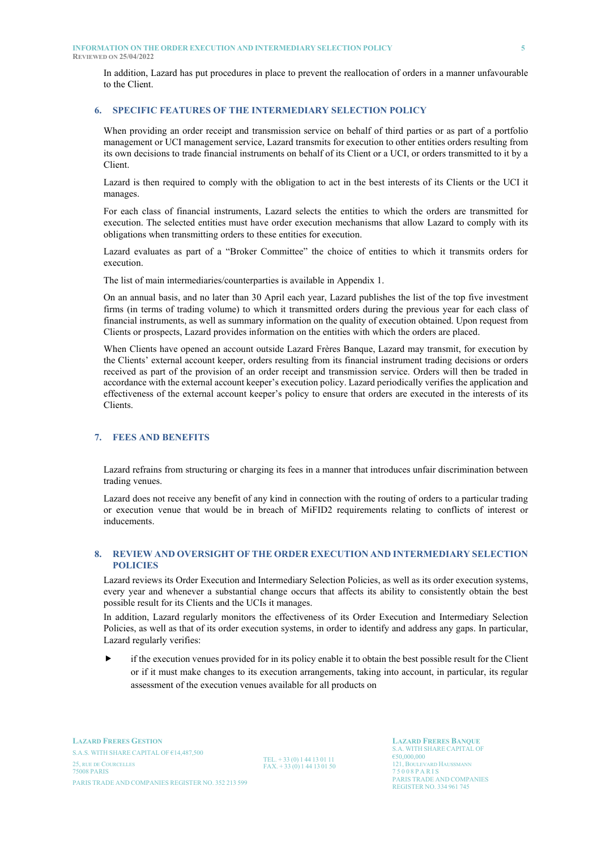**REVIEWED ON 25/04/2022**

In addition, Lazard has put procedures in place to prevent the reallocation of orders in a manner unfavourable to the Client.

### **6. SPECIFIC FEATURES OF THE INTERMEDIARY SELECTION POLICY**

When providing an order receipt and transmission service on behalf of third parties or as part of a portfolio management or UCI management service, Lazard transmits for execution to other entities orders resulting from its own decisions to trade financial instruments on behalf of its Client or a UCI, or orders transmitted to it by a Client.

Lazard is then required to comply with the obligation to act in the best interests of its Clients or the UCI it manages.

For each class of financial instruments, Lazard selects the entities to which the orders are transmitted for execution. The selected entities must have order execution mechanisms that allow Lazard to comply with its obligations when transmitting orders to these entities for execution.

Lazard evaluates as part of a "Broker Committee" the choice of entities to which it transmits orders for execution.

The list of main intermediaries/counterparties is available in Appendix 1.

On an annual basis, and no later than 30 April each year, Lazard publishes the list of the top five investment firms (in terms of trading volume) to which it transmitted orders during the previous year for each class of financial instruments, as well as summary information on the quality of execution obtained. Upon request from Clients or prospects, Lazard provides information on the entities with which the orders are placed.

When Clients have opened an account outside Lazard Frères Banque, Lazard may transmit, for execution by the Clients' external account keeper, orders resulting from its financial instrument trading decisions or orders received as part of the provision of an order receipt and transmission service. Orders will then be traded in accordance with the external account keeper's execution policy. Lazard periodically verifies the application and effectiveness of the external account keeper's policy to ensure that orders are executed in the interests of its Clients.

# **7. FEES AND BENEFITS**

Lazard refrains from structuring or charging its fees in a manner that introduces unfair discrimination between trading venues.

Lazard does not receive any benefit of any kind in connection with the routing of orders to a particular trading or execution venue that would be in breach of MiFID2 requirements relating to conflicts of interest or inducements.

## **8. REVIEW AND OVERSIGHT OF THE ORDER EXECUTION AND INTERMEDIARY SELECTION POLICIES**

Lazard reviews its Order Execution and Intermediary Selection Policies, as well as its order execution systems, every year and whenever a substantial change occurs that affects its ability to consistently obtain the best possible result for its Clients and the UCIs it manages.

In addition, Lazard regularly monitors the effectiveness of its Order Execution and Intermediary Selection Policies, as well as that of its order execution systems, in order to identify and address any gaps. In particular, Lazard regularly verifies:

 if the execution venues provided for in its policy enable it to obtain the best possible result for the Client or if it must make changes to its execution arrangements, taking into account, in particular, its regular assessment of the execution venues available for all products on

TEL. + 33 (0) 1 44 13 01 11  $FAX + 33(0)144130150$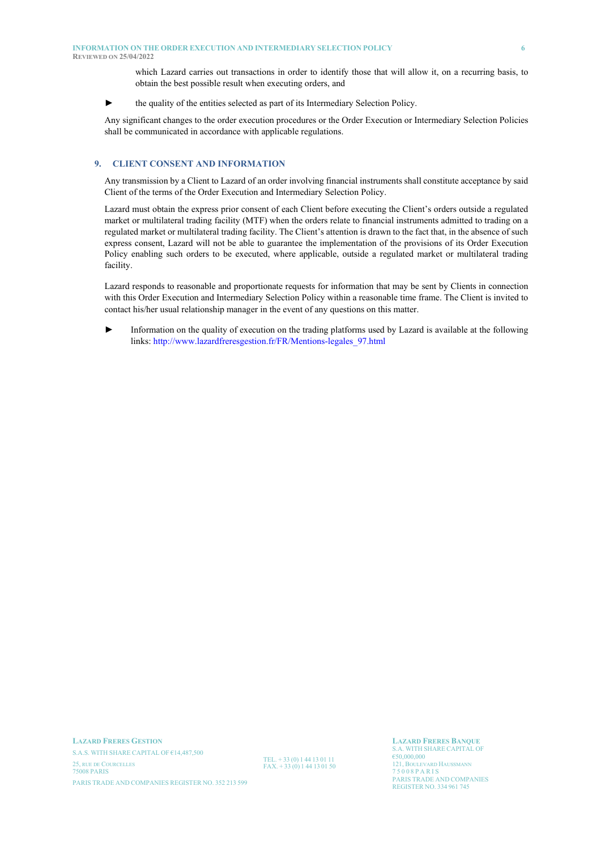**REVIEWED ON 25/04/2022**

which Lazard carries out transactions in order to identify those that will allow it, on a recurring basis, to obtain the best possible result when executing orders, and

► the quality of the entities selected as part of its Intermediary Selection Policy.

Any significant changes to the order execution procedures or the Order Execution or Intermediary Selection Policies shall be communicated in accordance with applicable regulations.

#### **9. CLIENT CONSENT AND INFORMATION**

Any transmission by a Client to Lazard of an order involving financial instruments shall constitute acceptance by said Client of the terms of the Order Execution and Intermediary Selection Policy.

Lazard must obtain the express prior consent of each Client before executing the Client's orders outside a regulated market or multilateral trading facility (MTF) when the orders relate to financial instruments admitted to trading on a regulated market or multilateral trading facility. The Client's attention is drawn to the fact that, in the absence of such express consent, Lazard will not be able to guarantee the implementation of the provisions of its Order Execution Policy enabling such orders to be executed, where applicable, outside a regulated market or multilateral trading facility.

Lazard responds to reasonable and proportionate requests for information that may be sent by Clients in connection with this Order Execution and Intermediary Selection Policy within a reasonable time frame. The Client is invited to contact his/her usual relationship manager in the event of any questions on this matter.

Information on the quality of execution on the trading platforms used by Lazard is available at the following links: [http://www.lazardfreresgestion.fr/FR/Mentions-legales\\_97.html](http://www.lazardfreresgestion.fr/FR/Mentions-legales_97.html)

**LAZARD FRERES GESTION** S.A.S. WITH SHARE CAPITAL OF  $614,487,500$ 25, RUE DE COURCELLES<br>
25, RUE DE COURCELLES<br>
25, OO A PARIS<br>
25, OO A PARIS<br>
25, OO A PARIS<br>
25, OO A PARIS<br>
25, OO A PARIS 75 0 0 8 P ARIS 2008 PARIS 2008 P ARIS 2008 P ARIS 2008 P ARIS 2008 P ARIS PARIS TRADE AND COMPANIES REGISTER NO. 352 213 599

TEL. + 33 (0) 1 44 13 01 11  $FAX. + 33(0)144130150$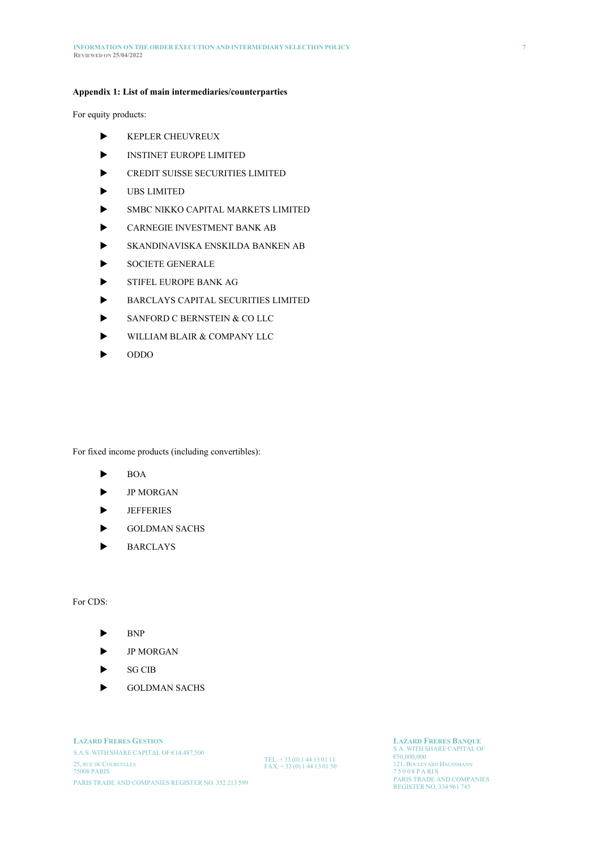#### **Appendix 1: List of main intermediaries/counterparties**

For equity products:

- KEPLER CHEUVREUX
- **INSTINET EUROPE LIMITED**
- CREDIT SUISSE SECURITIES LIMITED
- UBS LIMITED
- SMBC NIKKO CAPITAL MARKETS LIMITED
- CARNEGIE INVESTMENT BANK AB
- SKANDINAVISKA ENSKILDA BANKEN AB
- SOCIETE GENERALE
- STIFEL EUROPE BANK AG
- BARCLAYS CAPITAL SECURITIES LIMITED
- SANFORD C BERNSTEIN & CO LLC
- WILLIAM BLAIR & COMPANY LLC
- ODDO

For fixed income products (including convertibles):

- $\blacktriangleright$  BOA
- **P** MORGAN
- **JEFFERIES**
- GOLDMAN SACHS
- BARCLAYS

For CDS:

- $\blacktriangleright$  BNP
- JP MORGAN
- SG CIB
- GOLDMAN SACHS

**LAZARD FRERES GESTION** S.A.S. WITH SHARE CAPITAL OF  $€14,487,500$ 25, RUE DE COURCELLES<br>75008 PARIS PARIS TRADE AND COMPANIES REGISTER NO. 352 213 599

TEL. + 33 (0) 1 44 13 01 11  $FAX. + 33(0)144130150$  **LAZARD FRERES BANQUE** €50,000,000

121, BOULEVARD HAUSSMANN 15008 PARIS<br>PARIS TRADE AND COMPANIES<br>REGISTER NO. 334 961 745